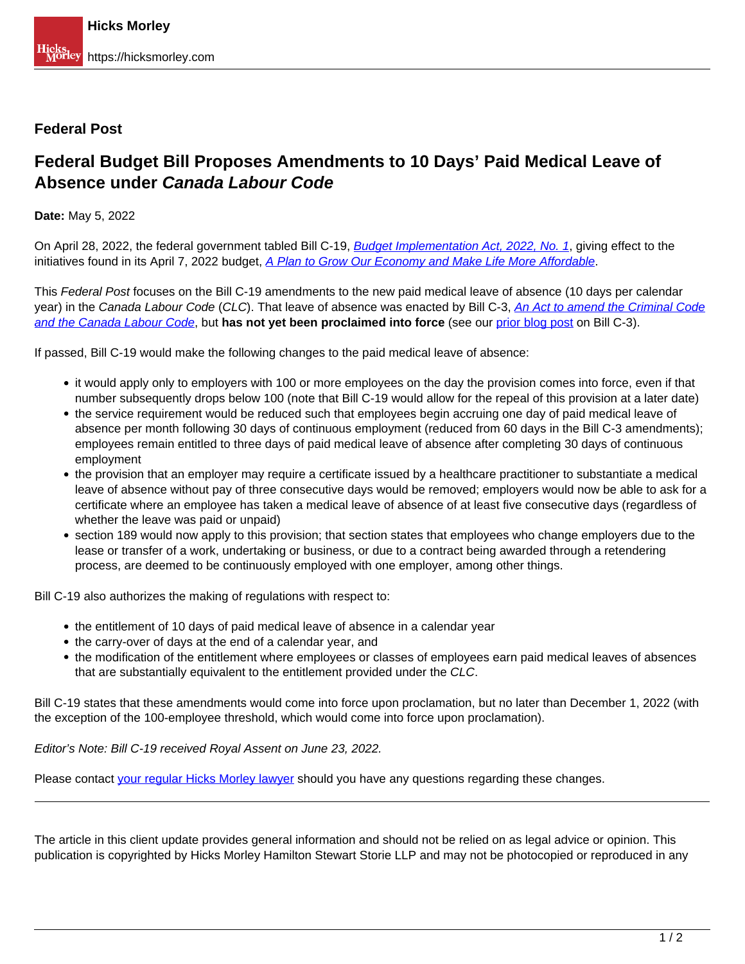## **Federal Post**

## **Federal Budget Bill Proposes Amendments to 10 Days' Paid Medical Leave of Absence under Canada Labour Code**

**Date:** May 5, 2022

On April 28, 2022, the federal government tabled Bill C-19, **[Budget Implementation Act, 2022, No. 1](https://www.parl.ca/DocumentViewer/en/44-1/bill/C-19/first-reading)**, giving effect to the initiatives found in its April 7, 2022 budget, A Plan to Grow Our Economy and Make Life More Affordable.

This Federal Post focuses on the Bill C-19 amendments to the new paid medical leave of absence (10 days per calendar year) in the Canada Labour Code (CLC). That leave of absence was enacted by Bill C-3, An Act to amend the Criminal Code and the Canada Labour Code, but **has not yet been proclaimed into force** (see our prior blog post on Bill C-3).

If passed, Bill C-19 would make the following changes to the paid medical leave of absence:

- it would apply only to employers with 100 or more employees on the day the provision comes into force, even if that number subsequently drops below 100 (note that Bill C-19 would allow for the repeal of this provision at a later date)
- the service requirement would be reduced such that employees begin accruing one day of paid medical leave of absence per month following 30 days of continuous employment (reduced from 60 days in the Bill C-3 amendments); employees remain entitled to three days of paid medical leave of absence after completing 30 days of continuous employment
- the provision that an employer may require a certificate issued by a healthcare practitioner to substantiate a medical leave of absence without pay of three consecutive days would be removed; employers would now be able to ask for a certificate where an employee has taken a medical leave of absence of at least five consecutive days (regardless of whether the leave was paid or unpaid)
- section 189 would now apply to this provision; that section states that employees who change employers due to the lease or transfer of a work, undertaking or business, or due to a contract being awarded through a retendering process, are deemed to be continuously employed with one employer, among other things.

Bill C-19 also authorizes the making of regulations with respect to:

- the entitlement of 10 days of paid medical leave of absence in a calendar year
- the carry-over of days at the end of a calendar year, and
- the modification of the entitlement where employees or classes of employees earn paid medical leaves of absences that are substantially equivalent to the entitlement provided under the CLC.

Bill C-19 states that these amendments would come into force upon proclamation, but no later than December 1, 2022 (with the exception of the 100-employee threshold, which would come into force upon proclamation).

Editor's Note: Bill C-19 received Royal Assent on June 23, 2022.

Please contact your regular Hicks Morley lawyer should you have any questions regarding these changes.

The article in this client update provides general information and should not be relied on as legal advice or opinion. This publication is copyrighted by Hicks Morley Hamilton Stewart Storie LLP and may not be photocopied or reproduced in any